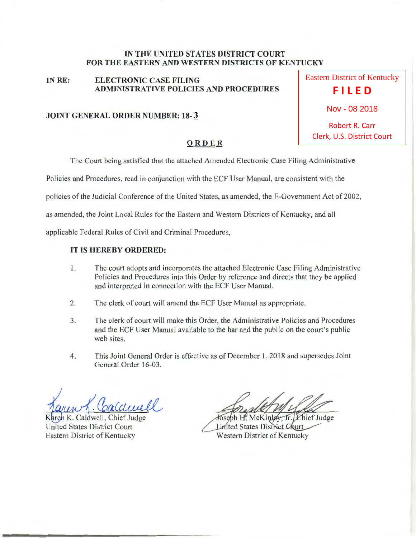#### **IN THE UNITED STATES DISTRICT COURT FOR THE EASTERN AND WESTERN DISTRICTS OF KENTUCKY**

#### **INRE: ELECTRONIC CASE FILING ADMINISTRATIVE POLICIES AND PROCEDURES**

#### **JOINT GENERAL ORDER NUMBER: 18- 3**

#### **ORDER**

The Court being satisfied that the attached Amended Electronic Case Filing Administrative

Policies and Procedures, read in conjunction with the ECF User Manual, are consistent with the

policies of the Judicial Conference of the United States, as amended, the E-Government Act of 2002,

as amended, the Joint Local Rules for the Eastern and Western Districts of Kentucky, and all

applicable Federal Rules of Civil and Criminal Procedures,

#### **IT IS HEREBY ORDERED:**

- **1.** The court adopts and incorporates the attached Electronic Case Filing Administrative Policies and Procedures into this Order by reference and directs that they be applied and interpreted in connection with the ECF User Manual.
- 2. The clerk of court will amend the ECF User Manual as appropriate.
- 3. The clerk of court will make this Order, the Administrative Policies and Procedures and the ECF User Manual available to the bar and the public on the court's public web sites.
- 4. This Joint General Order is effective as of December **1,** 2018 and supersedes Joint General Order 16-03.

K. Caldwell, Chief Judge United States District Court Eastern District of Kentucky

Joseph H. McKinley, Jr., Chief Judge United States District Court Western District of Kentucky

Eastern District of Kentucky **F I L E D** Robert R. Carr Nov - 08 2018<br>Robert R. Carr<br>Clerk, U.S. District Court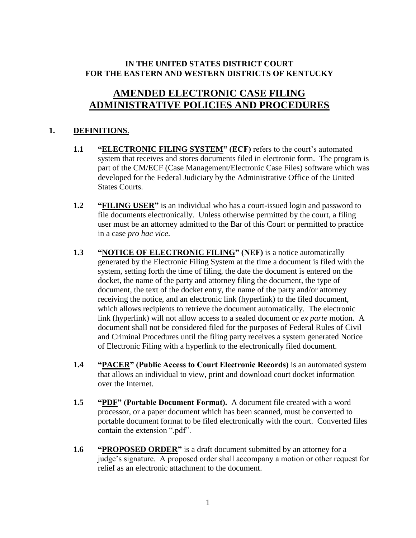# **IN THE UNITED STATES DISTRICT COURT FOR THE EASTERN AND WESTERN DISTRICTS OF KENTUCKY**

# **AMENDED ELECTRONIC CASE FILING ADMINISTRATIVE POLICIES AND PROCEDURES**

# **1. DEFINITIONS**.

- **1.1 "ELECTRONIC FILING SYSTEM" (ECF)** refers to the court's automated system that receives and stores documents filed in electronic form. The program is part of the CM/ECF (Case Management/Electronic Case Files) software which was developed for the Federal Judiciary by the Administrative Office of the United States Courts.
- **1.2 "FILING USER"** is an individual who has a court-issued login and password to file documents electronically. Unless otherwise permitted by the court, a filing user must be an attorney admitted to the Bar of this Court or permitted to practice in a case *pro hac vice*.
- **1.3 "NOTICE OF ELECTRONIC FILING"** (NEF) is a notice automatically generated by the Electronic Filing System at the time a document is filed with the system, setting forth the time of filing, the date the document is entered on the docket, the name of the party and attorney filing the document, the type of document, the text of the docket entry, the name of the party and/or attorney receiving the notice, and an electronic link (hyperlink) to the filed document, which allows recipients to retrieve the document automatically. The electronic link (hyperlink) will not allow access to a sealed document or *ex parte* motion. A document shall not be considered filed for the purposes of Federal Rules of Civil and Criminal Procedures until the filing party receives a system generated Notice of Electronic Filing with a hyperlink to the electronically filed document.
- **1.4 "PACER" (Public Access to Court Electronic Records)** is an automated system that allows an individual to view, print and download court docket information over the Internet.
- **1.5 "PDF" (Portable Document Format).** A document file created with a word processor, or a paper document which has been scanned, must be converted to portable document format to be filed electronically with the court. Converted files contain the extension ".pdf".
- **1.6 "PROPOSED ORDER"** is a draft document submitted by an attorney for a judge's signature. A proposed order shall accompany a motion or other request for relief as an electronic attachment to the document.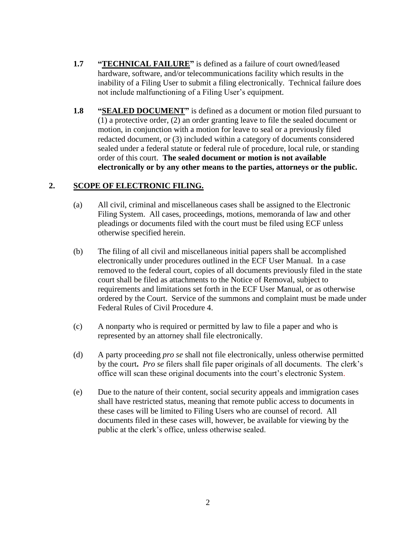- **1.7 "TECHNICAL FAILURE"** is defined as a failure of court owned/leased hardware, software, and/or telecommunications facility which results in the inability of a Filing User to submit a filing electronically. Technical failure does not include malfunctioning of a Filing User's equipment.
- **1.8 "SEALED DOCUMENT"** is defined as a document or motion filed pursuant to (1) a protective order, (2) an order granting leave to file the sealed document or motion, in conjunction with a motion for leave to seal or a previously filed redacted document, or (3) included within a category of documents considered sealed under a federal statute or federal rule of procedure, local rule, or standing order of this court. **The sealed document or motion is not available electronically or by any other means to the parties, attorneys or the public.**

# **2. SCOPE OF ELECTRONIC FILING.**

- (a) All civil, criminal and miscellaneous cases shall be assigned to the Electronic Filing System. All cases, proceedings, motions, memoranda of law and other pleadings or documents filed with the court must be filed using ECF unless otherwise specified herein.
- (b) The filing of all civil and miscellaneous initial papers shall be accomplished electronically under procedures outlined in the ECF User Manual. In a case removed to the federal court, copies of all documents previously filed in the state court shall be filed as attachments to the Notice of Removal, subject to requirements and limitations set forth in the ECF User Manual, or as otherwise ordered by the Court. Service of the summons and complaint must be made under Federal Rules of Civil Procedure 4.
- (c) A nonparty who is required or permitted by law to file a paper and who is represented by an attorney shall file electronically.
- (d) A party proceeding *pro se* shall not file electronically, unless otherwise permitted by the court**.** *Pro se* filers shall file paper originals of all documents. The clerk's office will scan these original documents into the court's electronic System.
- (e) Due to the nature of their content, social security appeals and immigration cases shall have restricted status, meaning that remote public access to documents in these cases will be limited to Filing Users who are counsel of record. All documents filed in these cases will, however, be available for viewing by the public at the clerk's office, unless otherwise sealed.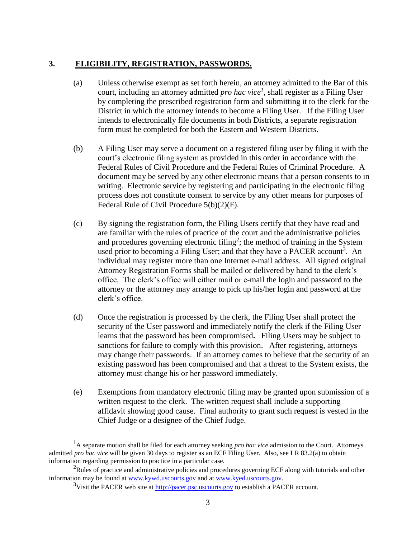# **3. ELIGIBILITY, REGISTRATION, PASSWORDS.**

- (a) Unless otherwise exempt as set forth herein, an attorney admitted to the Bar of this court, including an attorney admitted *pro hac vice<sup>1</sup> ,* shall register as a Filing User by completing the prescribed registration form and submitting it to the clerk for the District in which the attorney intends to become a Filing User. If the Filing User intends to electronically file documents in both Districts, a separate registration form must be completed for both the Eastern and Western Districts.
- (b) A Filing User may serve a document on a registered filing user by filing it with the court's electronic filing system as provided in this order in accordance with the Federal Rules of Civil Procedure and the Federal Rules of Criminal Procedure. A document may be served by any other electronic means that a person consents to in writing. Electronic service by registering and participating in the electronic filing process does not constitute consent to service by any other means for purposes of Federal Rule of Civil Procedure 5(b)(2)(F).
- (c) By signing the registration form, the Filing Users certify that they have read and are familiar with the rules of practice of the court and the administrative policies and procedures governing electronic filing<sup>2</sup>; the method of training in the System used prior to becoming a Filing User; and that they have a PACER account<sup>3</sup>. An individual may register more than one Internet e-mail address. All signed original Attorney Registration Forms shall be mailed or delivered by hand to the clerk's office. The clerk's office will either mail or e-mail the login and password to the attorney or the attorney may arrange to pick up his/her login and password at the clerk's office.
- (d) Once the registration is processed by the clerk, the Filing User shall protect the security of the User password and immediately notify the clerk if the Filing User learns that the password has been compromised**.** Filing Users may be subject to sanctions for failure to comply with this provision. After registering, attorneys may change their passwords. If an attorney comes to believe that the security of an existing password has been compromised and that a threat to the System exists, the attorney must change his or her password immediately.
- (e) Exemptions from mandatory electronic filing may be granted upon submission of a written request to the clerk. The written request shall include a supporting affidavit showing good cause. Final authority to grant such request is vested in the Chief Judge or a designee of the Chief Judge.

 $\overline{a}$ 

<sup>&</sup>lt;sup>1</sup>A separate motion shall be filed for each attorney seeking *pro hac vice* admission to the Court. Attorneys admitted *pro hac vice* will be given 30 days to register as an ECF Filing User. Also, see LR 83.2(a) to obtain information regarding permission to practice in a particular case.

 $2R$ ules of practice and administrative policies and procedures governing ECF along with tutorials and other information may be found at [www.kywd.uscourts.gov](http://www.kywd.uscourts.gov./) and at [www.kyed.uscourts.gov.](http://www.kyed.uscourts.gov/)

 $3V$ isit the PACER web site a[t http://pacer.psc.uscourts.gov](http://pacer.psc.uscourts.gov/) to establish a PACER account.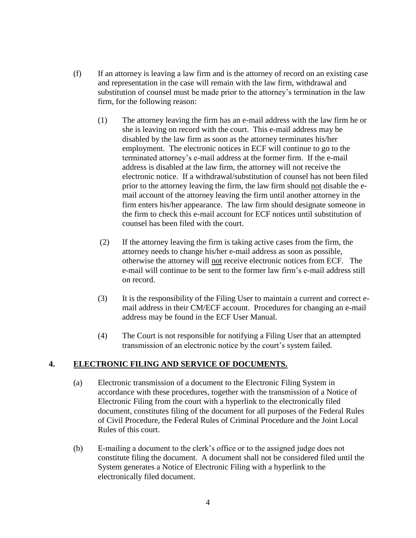- (f) If an attorney is leaving a law firm and is the attorney of record on an existing case and representation in the case will remain with the law firm, withdrawal and substitution of counsel must be made prior to the attorney's termination in the law firm, for the following reason:
	- (1) The attorney leaving the firm has an e-mail address with the law firm he or she is leaving on record with the court. This e-mail address may be disabled by the law firm as soon as the attorney terminates his/her employment. The electronic notices in ECF will continue to go to the terminated attorney's e-mail address at the former firm. If the e-mail address is disabled at the law firm, the attorney will not receive the electronic notice. If a withdrawal/substitution of counsel has not been filed prior to the attorney leaving the firm, the law firm should not disable the email account of the attorney leaving the firm until another attorney in the firm enters his/her appearance. The law firm should designate someone in the firm to check this e-mail account for ECF notices until substitution of counsel has been filed with the court.
	- (2) If the attorney leaving the firm is taking active cases from the firm, the attorney needs to change his/her e-mail address as soon as possible, otherwise the attorney will not receive electronic notices from ECF. The e-mail will continue to be sent to the former law firm's e-mail address still on record.
	- (3) It is the responsibility of the Filing User to maintain a current and correct email address in their CM/ECF account. Procedures for changing an e-mail address may be found in the ECF User Manual.
	- (4) The Court is not responsible for notifying a Filing User that an attempted transmission of an electronic notice by the court's system failed.

# **4. ELECTRONIC FILING AND SERVICE OF DOCUMENTS.**

- (a) Electronic transmission of a document to the Electronic Filing System in accordance with these procedures, together with the transmission of a Notice of Electronic Filing from the court with a hyperlink to the electronically filed document, constitutes filing of the document for all purposes of the Federal Rules of Civil Procedure, the Federal Rules of Criminal Procedure and the Joint Local Rules of this court.
- (b) E-mailing a document to the clerk's office or to the assigned judge does not constitute filing the document. A document shall not be considered filed until the System generates a Notice of Electronic Filing with a hyperlink to the electronically filed document.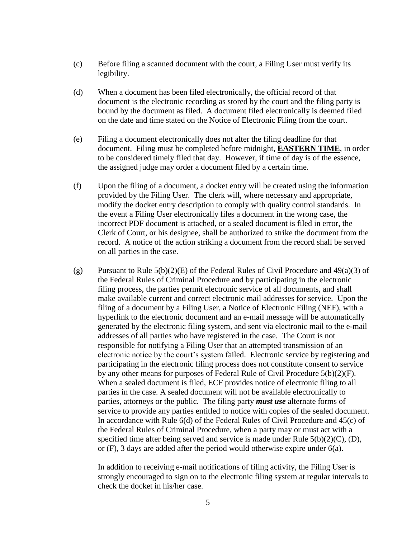- (c) Before filing a scanned document with the court, a Filing User must verify its legibility.
- (d) When a document has been filed electronically, the official record of that document is the electronic recording as stored by the court and the filing party is bound by the document as filed. A document filed electronically is deemed filed on the date and time stated on the Notice of Electronic Filing from the court.
- (e) Filing a document electronically does not alter the filing deadline for that document. Filing must be completed before midnight, **EASTERN TIME**, in order to be considered timely filed that day. However, if time of day is of the essence, the assigned judge may order a document filed by a certain time.
- (f) Upon the filing of a document, a docket entry will be created using the information provided by the Filing User. The clerk will, where necessary and appropriate, modify the docket entry description to comply with quality control standards. In the event a Filing User electronically files a document in the wrong case, the incorrect PDF document is attached, or a sealed document is filed in error, the Clerk of Court, or his designee, shall be authorized to strike the document from the record. A notice of the action striking a document from the record shall be served on all parties in the case.
- (g) Pursuant to Rule  $5(b)(2)(E)$  of the Federal Rules of Civil Procedure and  $49(a)(3)$  of the Federal Rules of Criminal Procedure and by participating in the electronic filing process, the parties permit electronic service of all documents, and shall make available current and correct electronic mail addresses for service. Upon the filing of a document by a Filing User, a Notice of Electronic Filing (NEF), with a hyperlink to the electronic document and an e-mail message will be automatically generated by the electronic filing system, and sent via electronic mail to the e-mail addresses of all parties who have registered in the case. The Court is not responsible for notifying a Filing User that an attempted transmission of an electronic notice by the court's system failed. Electronic service by registering and participating in the electronic filing process does not constitute consent to service by any other means for purposes of Federal Rule of Civil Procedure 5(b)(2)(F). When a sealed document is filed, ECF provides notice of electronic filing to all parties in the case. A sealed document will not be available electronically to parties, attorneys or the public. The filing party *must use* alternate forms of service to provide any parties entitled to notice with copies of the sealed document. In accordance with Rule  $6(d)$  of the Federal Rules of Civil Procedure and 45(c) of the Federal Rules of Criminal Procedure, when a party may or must act with a specified time after being served and service is made under Rule  $5(b)(2)(C)$ ,  $(D)$ , or (F), 3 days are added after the period would otherwise expire under 6(a).

In addition to receiving e-mail notifications of filing activity, the Filing User is strongly encouraged to sign on to the electronic filing system at regular intervals to check the docket in his/her case.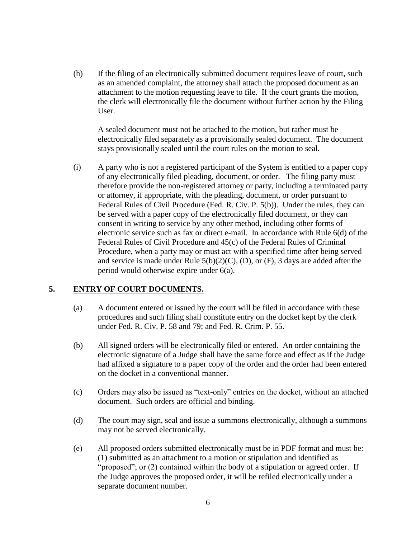(h) If the filing of an electronically submitted document requires leave of court, such as an amended complaint, the attorney shall attach the proposed document as an attachment to the motion requesting leave to file. If the court grants the motion, the clerk will electronically file the document without further action by the Filing User.

A sealed document must not be attached to the motion, but rather must be electronically filed separately as a provisionally sealed document. The document stays provisionally sealed until the court rules on the motion to seal.

(i) A party who is not a registered participant of the System is entitled to a paper copy of any electronically filed pleading, document, or order. The filing party must therefore provide the non-registered attorney or party, including a terminated party or attorney, if appropriate, with the pleading, document, or order pursuant to Federal Rules of Civil Procedure (Fed. R. Civ. P. 5(b)). Under the rules, they can be served with a paper copy of the electronically filed document, or they can consent in writing to service by any other method, including other forms of electronic service such as fax or direct e-mail. In accordance with Rule 6(d) of the Federal Rules of Civil Procedure and 45(c) of the Federal Rules of Criminal Procedure, when a party may or must act with a specified time after being served and service is made under Rule  $5(b)(2)(C)$ , (D), or (F), 3 days are added after the period would otherwise expire under 6(a).

#### **5. ENTRY OF COURT DOCUMENTS.**

- (a) A document entered or issued by the court will be filed in accordance with these procedures and such filing shall constitute entry on the docket kept by the clerk under Fed. R. Civ. P. 58 and 79; and Fed. R. Crim. P. 55.
- (b) All signed orders will be electronically filed or entered. An order containing the electronic signature of a Judge shall have the same force and effect as if the Judge had affixed a signature to a paper copy of the order and the order had been entered on the docket in a conventional manner.
- (c) Orders may also be issued as "text-only" entries on the docket, without an attached document. Such orders are official and binding.
- (d) The court may sign, seal and issue a summons electronically, although a summons may not be served electronically.
- (e) All proposed orders submitted electronically must be in PDF format and must be: (1) submitted as an attachment to a motion or stipulation and identified as "proposed"; or (2) contained within the body of a stipulation or agreed order. If the Judge approves the proposed order, it will be refiled electronically under a separate document number.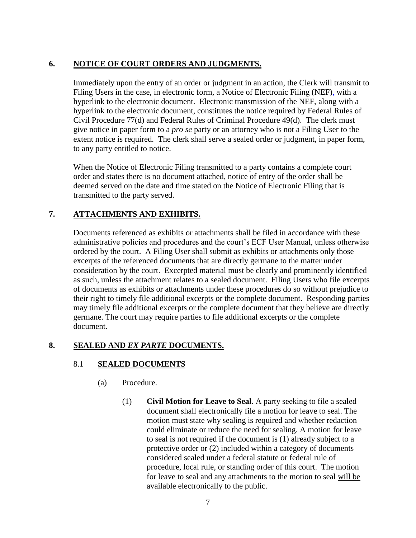# **6. NOTICE OF COURT ORDERS AND JUDGMENTS.**

Immediately upon the entry of an order or judgment in an action, the Clerk will transmit to Filing Users in the case, in electronic form, a Notice of Electronic Filing (NEF), with a hyperlink to the electronic document. Electronic transmission of the NEF, along with a hyperlink to the electronic document, constitutes the notice required by Federal Rules of Civil Procedure 77(d) and Federal Rules of Criminal Procedure 49(d). The clerk must give notice in paper form to a *pro se* party or an attorney who is not a Filing User to the extent notice is required. The clerk shall serve a sealed order or judgment, in paper form, to any party entitled to notice.

When the Notice of Electronic Filing transmitted to a party contains a complete court order and states there is no document attached, notice of entry of the order shall be deemed served on the date and time stated on the Notice of Electronic Filing that is transmitted to the party served.

# **7. ATTACHMENTS AND EXHIBITS.**

Documents referenced as exhibits or attachments shall be filed in accordance with these administrative policies and procedures and the court's ECF User Manual, unless otherwise ordered by the court. A Filing User shall submit as exhibits or attachments only those excerpts of the referenced documents that are directly germane to the matter under consideration by the court. Excerpted material must be clearly and prominently identified as such, unless the attachment relates to a sealed document. Filing Users who file excerpts of documents as exhibits or attachments under these procedures do so without prejudice to their right to timely file additional excerpts or the complete document. Responding parties may timely file additional excerpts or the complete document that they believe are directly germane. The court may require parties to file additional excerpts or the complete document.

# **8. SEALED AND** *EX PARTE* **DOCUMENTS.**

# 8.1 **SEALED DOCUMENTS**

- (a) Procedure.
	- (1) **Civil Motion for Leave to Seal**. A party seeking to file a sealed document shall electronically file a motion for leave to seal. The motion must state why sealing is required and whether redaction could eliminate or reduce the need for sealing. A motion for leave to seal is not required if the document is (1) already subject to a protective order or (2) included within a category of documents considered sealed under a federal statute or federal rule of procedure, local rule, or standing order of this court. The motion for leave to seal and any attachments to the motion to seal will be available electronically to the public.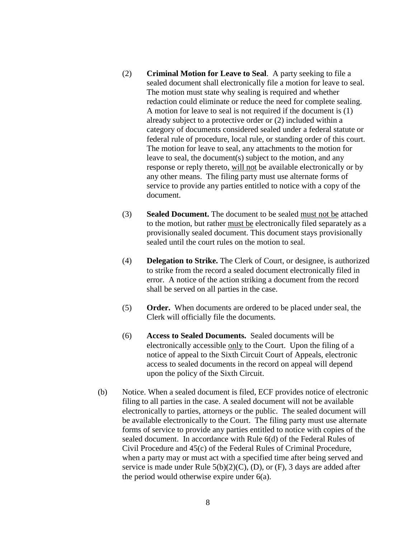- (2) **Criminal Motion for Leave to Seal**. A party seeking to file a sealed document shall electronically file a motion for leave to seal. The motion must state why sealing is required and whether redaction could eliminate or reduce the need for complete sealing. A motion for leave to seal is not required if the document is (1) already subject to a protective order or (2) included within a category of documents considered sealed under a federal statute or federal rule of procedure, local rule, or standing order of this court. The motion for leave to seal, any attachments to the motion for leave to seal, the document(s) subject to the motion, and any response or reply thereto, will not be available electronically or by any other means. The filing party must use alternate forms of service to provide any parties entitled to notice with a copy of the document.
- (3) **Sealed Document.** The document to be sealed must not be attached to the motion, but rather must be electronically filed separately as a provisionally sealed document. This document stays provisionally sealed until the court rules on the motion to seal.
- (4) **Delegation to Strike.** The Clerk of Court, or designee, is authorized to strike from the record a sealed document electronically filed in error. A notice of the action striking a document from the record shall be served on all parties in the case.
- (5) **Order.** When documents are ordered to be placed under seal, the Clerk will officially file the documents.
- (6) **Access to Sealed Documents.** Sealed documents will be electronically accessible only to the Court. Upon the filing of a notice of appeal to the Sixth Circuit Court of Appeals, electronic access to sealed documents in the record on appeal will depend upon the policy of the Sixth Circuit.
- (b) Notice. When a sealed document is filed, ECF provides notice of electronic filing to all parties in the case. A sealed document will not be available electronically to parties, attorneys or the public. The sealed document will be available electronically to the Court. The filing party must use alternate forms of service to provide any parties entitled to notice with copies of the sealed document. In accordance with Rule 6(d) of the Federal Rules of Civil Procedure and 45(c) of the Federal Rules of Criminal Procedure, when a party may or must act with a specified time after being served and service is made under Rule  $5(b)(2)(C)$ , (D), or (F), 3 days are added after the period would otherwise expire under 6(a).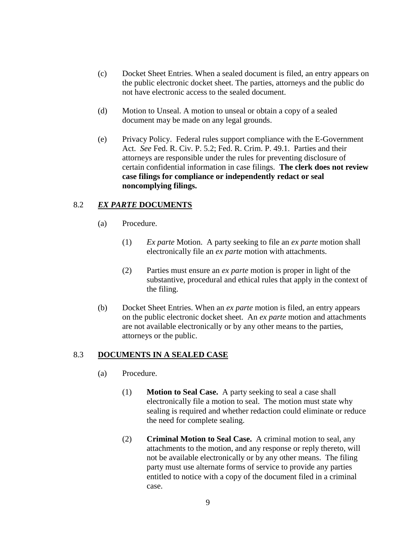- (c) Docket Sheet Entries. When a sealed document is filed, an entry appears on the public electronic docket sheet. The parties, attorneys and the public do not have electronic access to the sealed document.
- (d) Motion to Unseal. A motion to unseal or obtain a copy of a sealed document may be made on any legal grounds.
- (e) Privacy Policy. Federal rules support compliance with the E-Government Act. *See* Fed. R. Civ. P. 5.2; Fed. R. Crim. P. 49.1. Parties and their attorneys are responsible under the rules for preventing disclosure of certain confidential information in case filings. **The clerk does not review case filings for compliance or independently redact or seal noncomplying filings.**

#### 8.2 *EX PARTE* **DOCUMENTS**

- (a) Procedure.
	- (1) *Ex parte* Motion. A party seeking to file an *ex parte* motion shall electronically file an *ex parte* motion with attachments.
	- (2) Parties must ensure an *ex parte* motion is proper in light of the substantive, procedural and ethical rules that apply in the context of the filing.
- (b) Docket Sheet Entries. When an *ex parte* motion is filed, an entry appears on the public electronic docket sheet. An *ex parte* motion and attachments are not available electronically or by any other means to the parties, attorneys or the public.

#### 8.3 **DOCUMENTS IN A SEALED CASE**

- (a) Procedure.
	- (1) **Motion to Seal Case.** A party seeking to seal a case shall electronically file a motion to seal. The motion must state why sealing is required and whether redaction could eliminate or reduce the need for complete sealing.
	- (2) **Criminal Motion to Seal Case.** A criminal motion to seal, any attachments to the motion, and any response or reply thereto, will not be available electronically or by any other means. The filing party must use alternate forms of service to provide any parties entitled to notice with a copy of the document filed in a criminal case.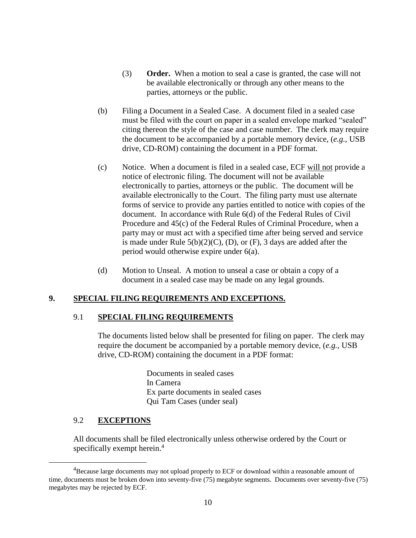- (3) **Order.** When a motion to seal a case is granted, the case will not be available electronically or through any other means to the parties, attorneys or the public.
- (b) Filing a Document in a Sealed Case. A document filed in a sealed case must be filed with the court on paper in a sealed envelope marked "sealed" citing thereon the style of the case and case number. The clerk may require the document to be accompanied by a portable memory device, (*e.g.*, USB drive, CD-ROM) containing the document in a PDF format.
- (c) Notice. When a document is filed in a sealed case, ECF will not provide a notice of electronic filing. The document will not be available electronically to parties, attorneys or the public. The document will be available electronically to the Court. The filing party must use alternate forms of service to provide any parties entitled to notice with copies of the document. In accordance with Rule 6(d) of the Federal Rules of Civil Procedure and 45(c) of the Federal Rules of Criminal Procedure, when a party may or must act with a specified time after being served and service is made under Rule  $5(b)(2)(C)$ , (D), or (F), 3 days are added after the period would otherwise expire under 6(a).
- (d) Motion to Unseal. A motion to unseal a case or obtain a copy of a document in a sealed case may be made on any legal grounds.

#### **9. SPECIAL FILING REQUIREMENTS AND EXCEPTIONS.**

#### 9.1 **SPECIAL FILING REQUIREMENTS**

The documents listed below shall be presented for filing on paper. The clerk may require the document be accompanied by a portable memory device, (*e.g.*, USB drive, CD-ROM) containing the document in a PDF format:

> Documents in sealed cases In Camera Ex parte documents in sealed cases Qui Tam Cases (under seal)

#### 9.2 **EXCEPTIONS**

 $\overline{a}$ 

All documents shall be filed electronically unless otherwise ordered by the Court or specifically exempt herein.<sup>4</sup>

<sup>&</sup>lt;sup>4</sup>Because large documents may not upload properly to ECF or download within a reasonable amount of time, documents must be broken down into seventy-five (75) megabyte segments. Documents over seventy-five (75) megabytes may be rejected by ECF.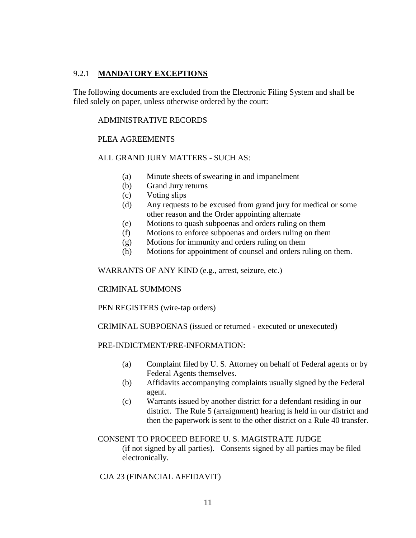# 9.2.1 **MANDATORY EXCEPTIONS**

The following documents are excluded from the Electronic Filing System and shall be filed solely on paper, unless otherwise ordered by the court:

#### ADMINISTRATIVE RECORDS

#### PLEA AGREEMENTS

#### ALL GRAND JURY MATTERS - SUCH AS:

- (a) Minute sheets of swearing in and impanelment
- (b) Grand Jury returns
- (c) Voting slips
- (d) Any requests to be excused from grand jury for medical or some other reason and the Order appointing alternate
- (e) Motions to quash subpoenas and orders ruling on them
- (f) Motions to enforce subpoenas and orders ruling on them
- (g) Motions for immunity and orders ruling on them
- (h) Motions for appointment of counsel and orders ruling on them.

#### WARRANTS OF ANY KIND (e.g., arrest, seizure, etc.)

#### CRIMINAL SUMMONS

#### PEN REGISTERS (wire-tap orders)

CRIMINAL SUBPOENAS (issued or returned - executed or unexecuted)

#### PRE-INDICTMENT/PRE-INFORMATION:

- (a) Complaint filed by U. S. Attorney on behalf of Federal agents or by Federal Agents themselves.
- (b) Affidavits accompanying complaints usually signed by the Federal agent.
- (c) Warrants issued by another district for a defendant residing in our district. The Rule 5 (arraignment) hearing is held in our district and then the paperwork is sent to the other district on a Rule 40 transfer.

#### CONSENT TO PROCEED BEFORE U. S. MAGISTRATE JUDGE (if not signed by all parties). Consents signed by all parties may be filed electronically.

#### CJA 23 (FINANCIAL AFFIDAVIT)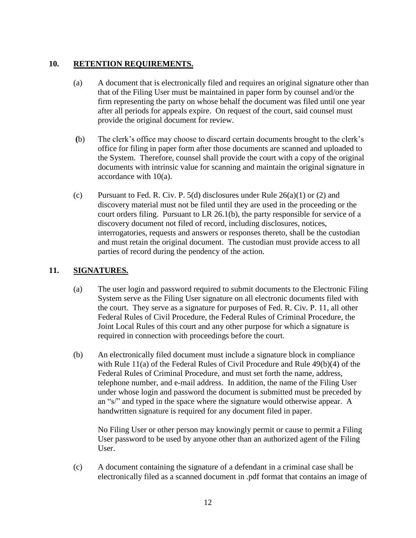# **10. RETENTION REQUIREMENTS.**

- (a) A document that is electronically filed and requires an original signature other than that of the Filing User must be maintained in paper form by counsel and/or the firm representing the party on whose behalf the document was filed until one year after all periods for appeals expire. On request of the court, said counsel must provide the original document for review.
- **(**b) The clerk's office may choose to discard certain documents brought to the clerk's office for filing in paper form after those documents are scanned and uploaded to the System. Therefore, counsel shall provide the court with a copy of the original documents with intrinsic value for scanning and maintain the original signature in accordance with 10(a).
- (c) Pursuant to Fed. R. Civ. P. 5(d) disclosures under Rule  $26(a)(1)$  or (2) and discovery material must not be filed until they are used in the proceeding or the court orders filing. Pursuant to LR 26.1(b), the party responsible for service of a discovery document not filed of record, including disclosures, notices, interrogatories, requests and answers or responses thereto, shall be the custodian and must retain the original document. The custodian must provide access to all parties of record during the pendency of the action.

# **11. SIGNATURES.**

- (a) The user login and password required to submit documents to the Electronic Filing System serve as the Filing User signature on all electronic documents filed with the court. They serve as a signature for purposes of Fed. R. Civ. P. 11, all other Federal Rules of Civil Procedure, the Federal Rules of Criminal Procedure, the Joint Local Rules of this court and any other purpose for which a signature is required in connection with proceedings before the court.
- (b) An electronically filed document must include a signature block in compliance with Rule 11(a) of the Federal Rules of Civil Procedure and Rule 49(b)(4) of the Federal Rules of Criminal Procedure, and must set forth the name, address, telephone number, and e-mail address. In addition, the name of the Filing User under whose login and password the document is submitted must be preceded by an "s/" and typed in the space where the signature would otherwise appear. A handwritten signature is required for any document filed in paper.

No Filing User or other person may knowingly permit or cause to permit a Filing User password to be used by anyone other than an authorized agent of the Filing User.

(c) A document containing the signature of a defendant in a criminal case shall be electronically filed as a scanned document in .pdf format that contains an image of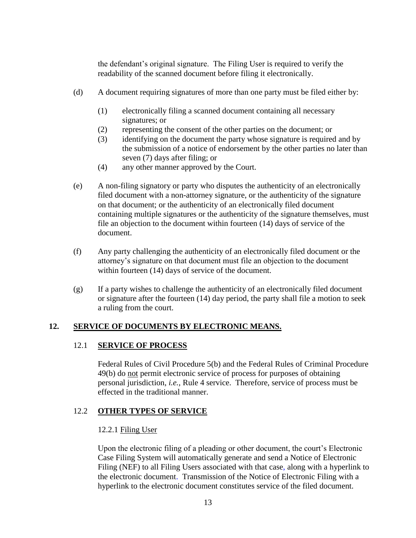the defendant's original signature. The Filing User is required to verify the readability of the scanned document before filing it electronically.

- (d) A document requiring signatures of more than one party must be filed either by:
	- (1) electronically filing a scanned document containing all necessary signatures; or
	- (2) representing the consent of the other parties on the document; or
	- (3) identifying on the document the party whose signature is required and by the submission of a notice of endorsement by the other parties no later than seven (7) days after filing; or
	- (4) any other manner approved by the Court.
- (e) A non-filing signatory or party who disputes the authenticity of an electronically filed document with a non-attorney signature, or the authenticity of the signature on that document; or the authenticity of an electronically filed document containing multiple signatures or the authenticity of the signature themselves, must file an objection to the document within fourteen (14) days of service of the document.
- (f) Any party challenging the authenticity of an electronically filed document or the attorney's signature on that document must file an objection to the document within fourteen (14) days of service of the document.
- (g) If a party wishes to challenge the authenticity of an electronically filed document or signature after the fourteen (14) day period, the party shall file a motion to seek a ruling from the court.

# **12. SERVICE OF DOCUMENTS BY ELECTRONIC MEANS.**

# 12.1 **SERVICE OF PROCESS**

Federal Rules of Civil Procedure 5(b) and the Federal Rules of Criminal Procedure 49(b) do not permit electronic service of process for purposes of obtaining personal jurisdiction, *i.e.,* Rule 4 service. Therefore, service of process must be effected in the traditional manner.

# 12.2 **OTHER TYPES OF SERVICE**

# 12.2.1 Filing User

Upon the electronic filing of a pleading or other document, the court's Electronic Case Filing System will automatically generate and send a Notice of Electronic Filing (NEF) to all Filing Users associated with that case, along with a hyperlink to the electronic document. Transmission of the Notice of Electronic Filing with a hyperlink to the electronic document constitutes service of the filed document.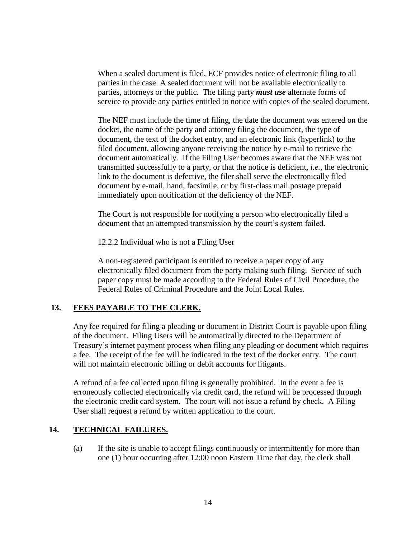When a sealed document is filed, ECF provides notice of electronic filing to all parties in the case. A sealed document will not be available electronically to parties, attorneys or the public. The filing party *must use* alternate forms of service to provide any parties entitled to notice with copies of the sealed document.

The NEF must include the time of filing, the date the document was entered on the docket, the name of the party and attorney filing the document, the type of document, the text of the docket entry, and an electronic link (hyperlink) to the filed document, allowing anyone receiving the notice by e-mail to retrieve the document automatically. If the Filing User becomes aware that the NEF was not transmitted successfully to a party, or that the notice is deficient, *i.e.,* the electronic link to the document is defective, the filer shall serve the electronically filed document by e-mail, hand, facsimile, or by first-class mail postage prepaid immediately upon notification of the deficiency of the NEF.

The Court is not responsible for notifying a person who electronically filed a document that an attempted transmission by the court's system failed.

12.2.2 Individual who is not a Filing User

A non-registered participant is entitled to receive a paper copy of any electronically filed document from the party making such filing. Service of such paper copy must be made according to the Federal Rules of Civil Procedure, the Federal Rules of Criminal Procedure and the Joint Local Rules.

# **13. FEES PAYABLE TO THE CLERK.**

Any fee required for filing a pleading or document in District Court is payable upon filing of the document. Filing Users will be automatically directed to the Department of Treasury's internet payment process when filing any pleading or document which requires a fee. The receipt of the fee will be indicated in the text of the docket entry. The court will not maintain electronic billing or debit accounts for litigants.

A refund of a fee collected upon filing is generally prohibited. In the event a fee is erroneously collected electronically via credit card, the refund will be processed through the electronic credit card system. The court will not issue a refund by check. A Filing User shall request a refund by written application to the court.

# **14. TECHNICAL FAILURES.**

(a) If the site is unable to accept filings continuously or intermittently for more than one (1) hour occurring after 12:00 noon Eastern Time that day, the clerk shall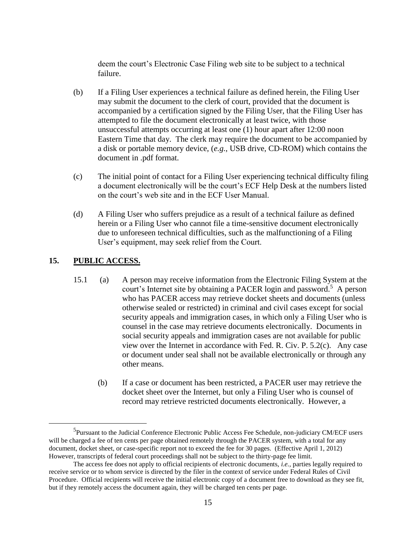deem the court's Electronic Case Filing web site to be subject to a technical failure.

- (b) If a Filing User experiences a technical failure as defined herein, the Filing User may submit the document to the clerk of court, provided that the document is accompanied by a certification signed by the Filing User, that the Filing User has attempted to file the document electronically at least twice, with those unsuccessful attempts occurring at least one (1) hour apart after 12:00 noon Eastern Time that day. The clerk may require the document to be accompanied by a disk or portable memory device, (*e.g.*, USB drive, CD-ROM) which contains the document in .pdf format.
- (c) The initial point of contact for a Filing User experiencing technical difficulty filing a document electronically will be the court's ECF Help Desk at the numbers listed on the court's web site and in the ECF User Manual.
- (d) A Filing User who suffers prejudice as a result of a technical failure as defined herein or a Filing User who cannot file a time-sensitive document electronically due to unforeseen technical difficulties, such as the malfunctioning of a Filing User's equipment, may seek relief from the Court.

# **15. PUBLIC ACCESS.**

 $\overline{a}$ 

- 15.1 (a) A person may receive information from the Electronic Filing System at the court's Internet site by obtaining a PACER login and password.<sup>5</sup> A person who has PACER access may retrieve docket sheets and documents (unless otherwise sealed or restricted) in criminal and civil cases except for social security appeals and immigration cases, in which only a Filing User who is counsel in the case may retrieve documents electronically. Documents in social security appeals and immigration cases are not available for public view over the Internet in accordance with Fed. R. Civ. P. 5.2(c). Any case or document under seal shall not be available electronically or through any other means.
	- (b) If a case or document has been restricted, a PACER user may retrieve the docket sheet over the Internet, but only a Filing User who is counsel of record may retrieve restricted documents electronically. However, a

<sup>&</sup>lt;sup>5</sup>Pursuant to the Judicial Conference Electronic Public Access Fee Schedule, non-judiciary CM/ECF users will be charged a fee of ten cents per page obtained remotely through the PACER system, with a total for any document, docket sheet, or case-specific report not to exceed the fee for 30 pages. (Effective April 1, 2012) However, transcripts of federal court proceedings shall not be subject to the thirty-page fee limit.

The access fee does not apply to official recipients of electronic documents, *i.e.,* parties legally required to receive service or to whom service is directed by the filer in the context of service under Federal Rules of Civil Procedure. Official recipients will receive the initial electronic copy of a document free to download as they see fit, but if they remotely access the document again, they will be charged ten cents per page.